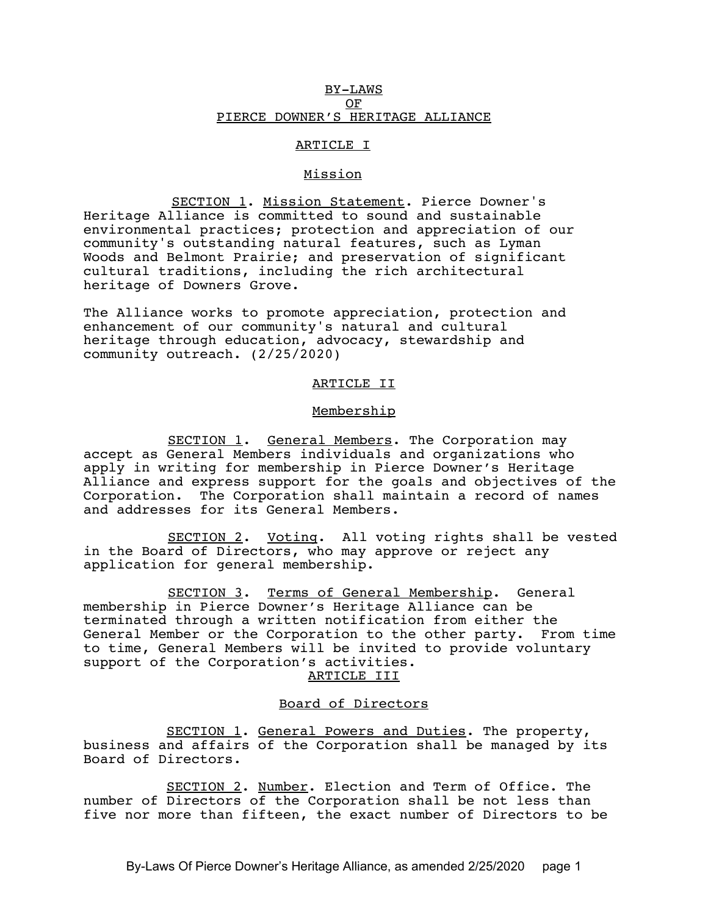# BY-LAWS OF PIERCE DOWNER'S HERITAGE ALLIANCE

## ARTICLE I

# Mission

SECTION 1. Mission Statement. Pierce Downer's Heritage Alliance is committed to sound and sustainable environmental practices; protection and appreciation of our community's outstanding natural features, such as Lyman Woods and Belmont Prairie; and preservation of significant cultural traditions, including the rich architectural heritage of Downers Grove.

The Alliance works to promote appreciation, protection and enhancement of our community's natural and cultural heritage through education, advocacy, stewardship and community outreach. (2/25/2020)

# ARTICLE II

#### Membership

SECTION 1. General Members. The Corporation may accept as General Members individuals and organizations who apply in writing for membership in Pierce Downer's Heritage Alliance and express support for the goals and objectives of the Corporation. The Corporation shall maintain a record of names and addresses for its General Members.

SECTION 2. Voting. All voting rights shall be vested in the Board of Directors, who may approve or reject any application for general membership.

SECTION 3. Terms of General Membership. General membership in Pierce Downer's Heritage Alliance can be terminated through a written notification from either the General Member or the Corporation to the other party. From time to time, General Members will be invited to provide voluntary support of the Corporation's activities. ARTICLE III

# Board of Directors

 SECTION 1. General Powers and Duties. The property, business and affairs of the Corporation shall be managed by its Board of Directors.

SECTION 2. Number. Election and Term of Office. The number of Directors of the Corporation shall be not less than five nor more than fifteen, the exact number of Directors to be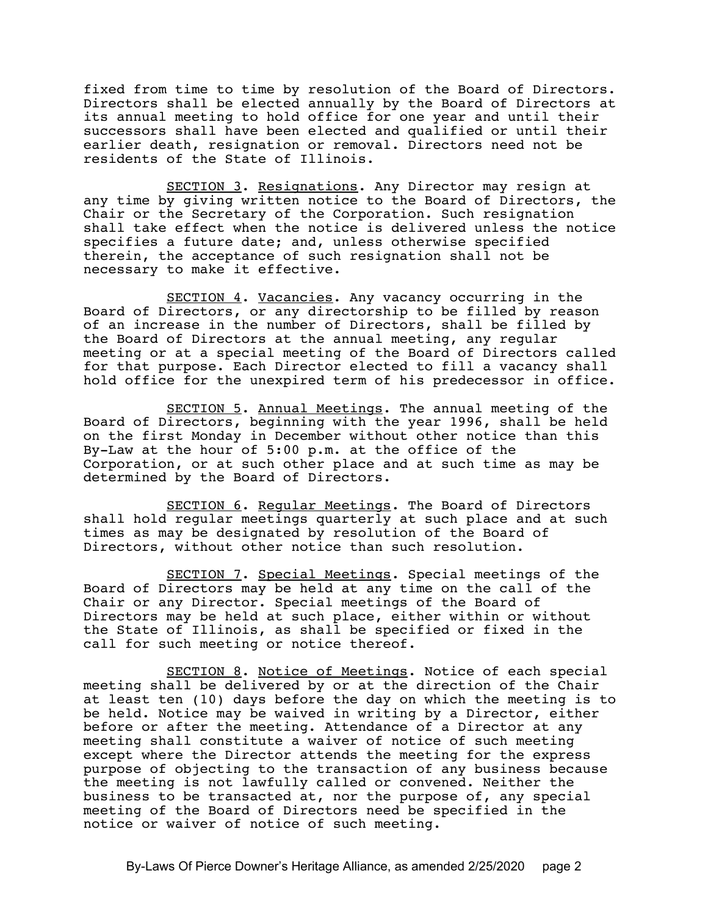fixed from time to time by resolution of the Board of Directors. Directors shall be elected annually by the Board of Directors at its annual meeting to hold office for one year and until their successors shall have been elected and qualified or until their earlier death, resignation or removal. Directors need not be residents of the State of Illinois.

SECTION 3. Resignations. Any Director may resign at any time by giving written notice to the Board of Directors, the Chair or the Secretary of the Corporation. Such resignation shall take effect when the notice is delivered unless the notice specifies a future date; and, unless otherwise specified therein, the acceptance of such resignation shall not be necessary to make it effective.

SECTION 4. Vacancies. Any vacancy occurring in the Board of Directors, or any directorship to be filled by reason of an increase in the number of Directors, shall be filled by the Board of Directors at the annual meeting, any regular meeting or at a special meeting of the Board of Directors called for that purpose. Each Director elected to fill a vacancy shall hold office for the unexpired term of his predecessor in office.

SECTION 5. Annual Meetings. The annual meeting of the Board of Directors, beginning with the year 1996, shall be held on the first Monday in December without other notice than this By-Law at the hour of 5:00 p.m. at the office of the Corporation, or at such other place and at such time as may be determined by the Board of Directors.

SECTION 6. Regular Meetings. The Board of Directors shall hold regular meetings quarterly at such place and at such times as may be designated by resolution of the Board of Directors, without other notice than such resolution.

SECTION 7. Special Meetings. Special meetings of the Board of Directors may be held at any time on the call of the Chair or any Director. Special meetings of the Board of Directors may be held at such place, either within or without the State of Illinois, as shall be specified or fixed in the call for such meeting or notice thereof.

SECTION 8. Notice of Meetings. Notice of each special meeting shall be delivered by or at the direction of the Chair at least ten (10) days before the day on which the meeting is to be held. Notice may be waived in writing by a Director, either before or after the meeting. Attendance of a Director at any meeting shall constitute a waiver of notice of such meeting except where the Director attends the meeting for the express purpose of objecting to the transaction of any business because the meeting is not lawfully called or convened. Neither the business to be transacted at, nor the purpose of, any special meeting of the Board of Directors need be specified in the notice or waiver of notice of such meeting.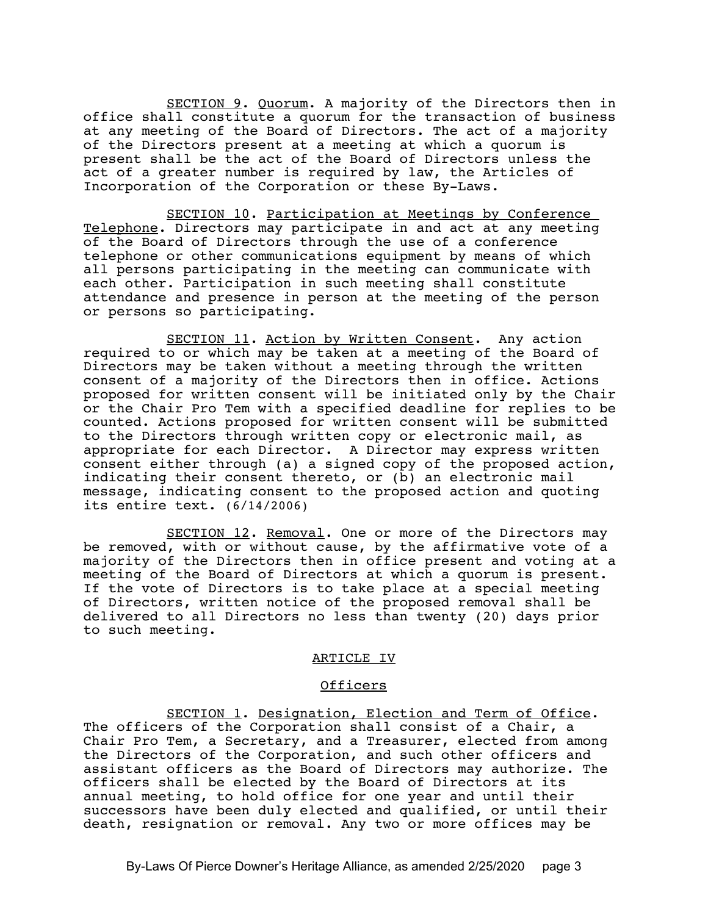SECTION 9. Quorum. A majority of the Directors then in office shall constitute a quorum for the transaction of business at any meeting of the Board of Directors. The act of a majority of the Directors present at a meeting at which a quorum is present shall be the act of the Board of Directors unless the act of a greater number is required by law, the Articles of Incorporation of the Corporation or these By-Laws.

SECTION 10. Participation at Meetings by Conference Telephone. Directors may participate in and act at any meeting of the Board of Directors through the use of a conference telephone or other communications equipment by means of which all persons participating in the meeting can communicate with each other. Participation in such meeting shall constitute attendance and presence in person at the meeting of the person or persons so participating.

SECTION 11. Action by Written Consent. Any action required to or which may be taken at a meeting of the Board of Directors may be taken without a meeting through the written consent of a majority of the Directors then in office. Actions proposed for written consent will be initiated only by the Chair or the Chair Pro Tem with a specified deadline for replies to be counted. Actions proposed for written consent will be submitted to the Directors through written copy or electronic mail, as appropriate for each Director. A Director may express written consent either through (a) a signed copy of the proposed action, indicating their consent thereto, or (b) an electronic mail message, indicating consent to the proposed action and quoting its entire text. (6/14/2006)

SECTION 12. Removal. One or more of the Directors may be removed, with or without cause, by the affirmative vote of a majority of the Directors then in office present and voting at a meeting of the Board of Directors at which a quorum is present. If the vote of Directors is to take place at a special meeting of Directors, written notice of the proposed removal shall be delivered to all Directors no less than twenty (20) days prior to such meeting.

#### ARTICLE IV

## Officers

SECTION 1. Designation, Election and Term of Office. The officers of the Corporation shall consist of a Chair, a Chair Pro Tem, a Secretary, and a Treasurer, elected from among the Directors of the Corporation, and such other officers and assistant officers as the Board of Directors may authorize. The officers shall be elected by the Board of Directors at its annual meeting, to hold office for one year and until their successors have been duly elected and qualified, or until their death, resignation or removal. Any two or more offices may be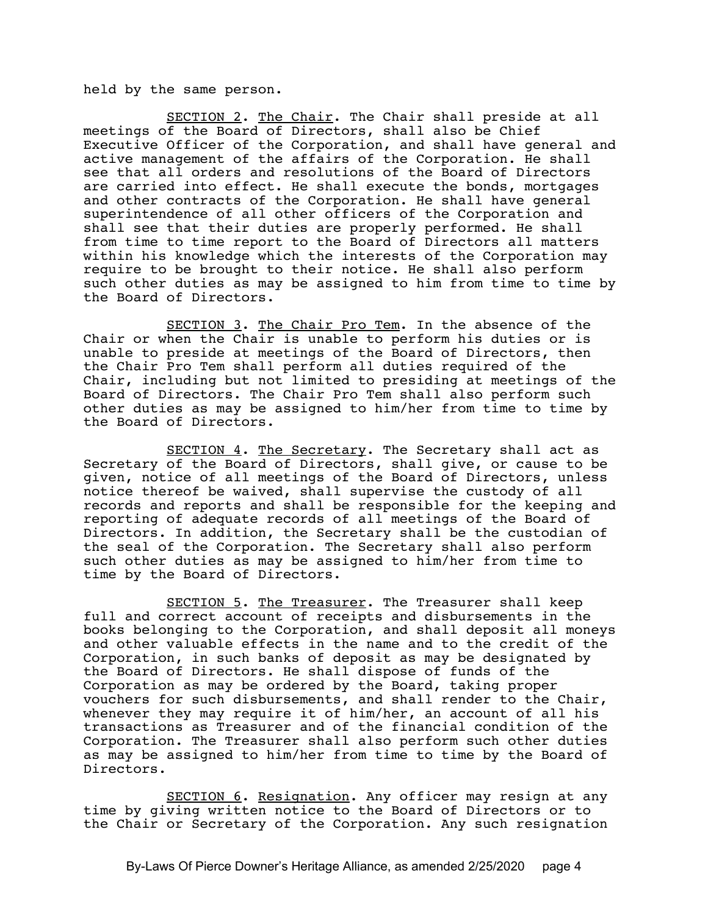held by the same person.

SECTION 2. The Chair. The Chair shall preside at all meetings of the Board of Directors, shall also be Chief Executive Officer of the Corporation, and shall have general and active management of the affairs of the Corporation. He shall see that all orders and resolutions of the Board of Directors are carried into effect. He shall execute the bonds, mortgages and other contracts of the Corporation. He shall have general superintendence of all other officers of the Corporation and shall see that their duties are properly performed. He shall from time to time report to the Board of Directors all matters within his knowledge which the interests of the Corporation may require to be brought to their notice. He shall also perform such other duties as may be assigned to him from time to time by the Board of Directors.

SECTION 3. The Chair Pro Tem. In the absence of the Chair or when the Chair is unable to perform his duties or is unable to preside at meetings of the Board of Directors, then the Chair Pro Tem shall perform all duties required of the Chair, including but not limited to presiding at meetings of the Board of Directors. The Chair Pro Tem shall also perform such other duties as may be assigned to him/her from time to time by the Board of Directors.

SECTION 4. The Secretary. The Secretary shall act as Secretary of the Board of Directors, shall give, or cause to be given, notice of all meetings of the Board of Directors, unless notice thereof be waived, shall supervise the custody of all records and reports and shall be responsible for the keeping and reporting of adequate records of all meetings of the Board of Directors. In addition, the Secretary shall be the custodian of the seal of the Corporation. The Secretary shall also perform such other duties as may be assigned to him/her from time to time by the Board of Directors.

SECTION 5. The Treasurer. The Treasurer shall keep full and correct account of receipts and disbursements in the books belonging to the Corporation, and shall deposit all moneys and other valuable effects in the name and to the credit of the Corporation, in such banks of deposit as may be designated by the Board of Directors. He shall dispose of funds of the Corporation as may be ordered by the Board, taking proper vouchers for such disbursements, and shall render to the Chair, whenever they may require it of him/her, an account of all his transactions as Treasurer and of the financial condition of the Corporation. The Treasurer shall also perform such other duties as may be assigned to him/her from time to time by the Board of Directors.

SECTION 6. Resignation. Any officer may resign at any time by giving written notice to the Board of Directors or to the Chair or Secretary of the Corporation. Any such resignation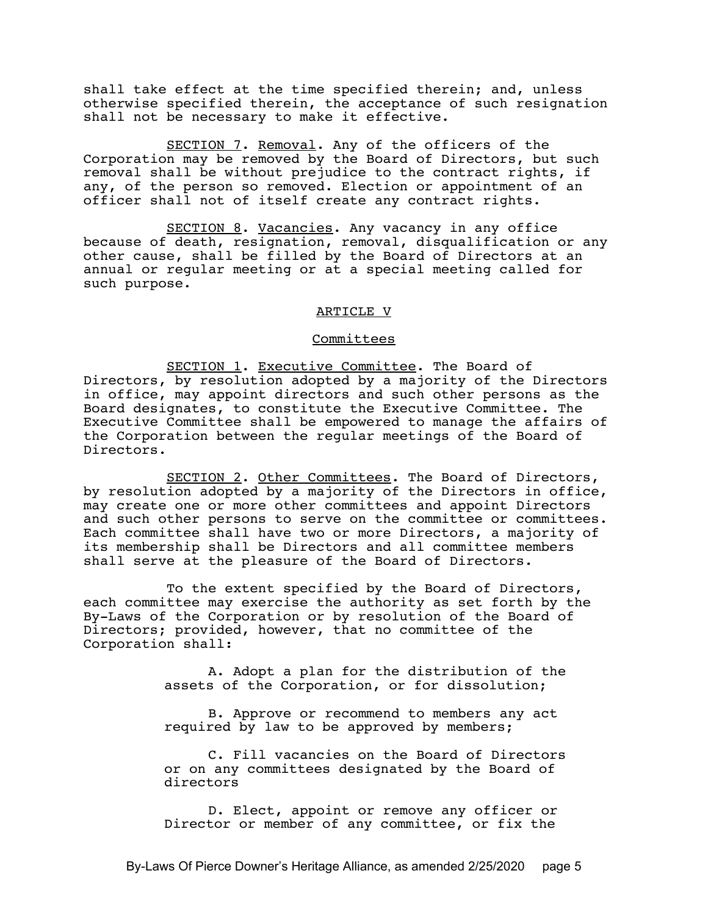shall take effect at the time specified therein; and, unless otherwise specified therein, the acceptance of such resignation shall not be necessary to make it effective.

SECTION 7. Removal. Any of the officers of the Corporation may be removed by the Board of Directors, but such removal shall be without prejudice to the contract rights, if any, of the person so removed. Election or appointment of an officer shall not of itself create any contract rights.

SECTION 8. Vacancies. Any vacancy in any office because of death, resignation, removal, disqualification or any other cause, shall be filled by the Board of Directors at an annual or regular meeting or at a special meeting called for such purpose.

# ARTICLE V

#### Committees

SECTION 1. Executive Committee. The Board of Directors, by resolution adopted by a majority of the Directors in office, may appoint directors and such other persons as the Board designates, to constitute the Executive Committee. The Executive Committee shall be empowered to manage the affairs of the Corporation between the regular meetings of the Board of Directors.

SECTION 2. Other Committees. The Board of Directors, by resolution adopted by a majority of the Directors in office, may create one or more other committees and appoint Directors and such other persons to serve on the committee or committees. Each committee shall have two or more Directors, a majority of its membership shall be Directors and all committee members shall serve at the pleasure of the Board of Directors.

To the extent specified by the Board of Directors, each committee may exercise the authority as set forth by the By-Laws of the Corporation or by resolution of the Board of Directors; provided, however, that no committee of the Corporation shall:

> A. Adopt a plan for the distribution of the assets of the Corporation, or for dissolution;

B. Approve or recommend to members any act required by law to be approved by members;

C. Fill vacancies on the Board of Directors or on any committees designated by the Board of directors

D. Elect, appoint or remove any officer or Director or member of any committee, or fix the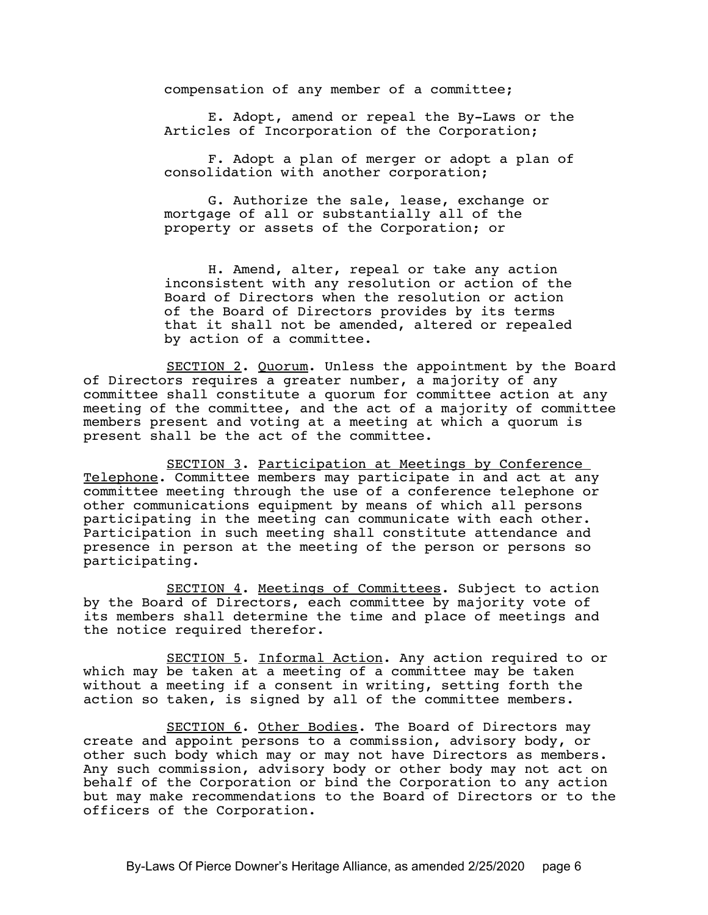compensation of any member of a committee;

E. Adopt, amend or repeal the By-Laws or the Articles of Incorporation of the Corporation;

F. Adopt a plan of merger or adopt a plan of consolidation with another corporation;

G. Authorize the sale, lease, exchange or mortgage of all or substantially all of the property or assets of the Corporation; or

H. Amend, alter, repeal or take any action inconsistent with any resolution or action of the Board of Directors when the resolution or action of the Board of Directors provides by its terms that it shall not be amended, altered or repealed by action of a committee.

SECTION 2. Quorum. Unless the appointment by the Board of Directors requires a greater number, a majority of any committee shall constitute a quorum for committee action at any meeting of the committee, and the act of a majority of committee members present and voting at a meeting at which a quorum is present shall be the act of the committee.

SECTION 3. Participation at Meetings by Conference Telephone. Committee members may participate in and act at any committee meeting through the use of a conference telephone or other communications equipment by means of which all persons participating in the meeting can communicate with each other. Participation in such meeting shall constitute attendance and presence in person at the meeting of the person or persons so participating.

SECTION 4. Meetings of Committees. Subject to action by the Board of Directors, each committee by majority vote of its members shall determine the time and place of meetings and the notice required therefor.

SECTION 5. Informal Action. Any action required to or which may be taken at a meeting of a committee may be taken without a meeting if a consent in writing, setting forth the action so taken, is signed by all of the committee members.

SECTION 6. Other Bodies. The Board of Directors may create and appoint persons to a commission, advisory body, or other such body which may or may not have Directors as members. Any such commission, advisory body or other body may not act on behalf of the Corporation or bind the Corporation to any action but may make recommendations to the Board of Directors or to the officers of the Corporation.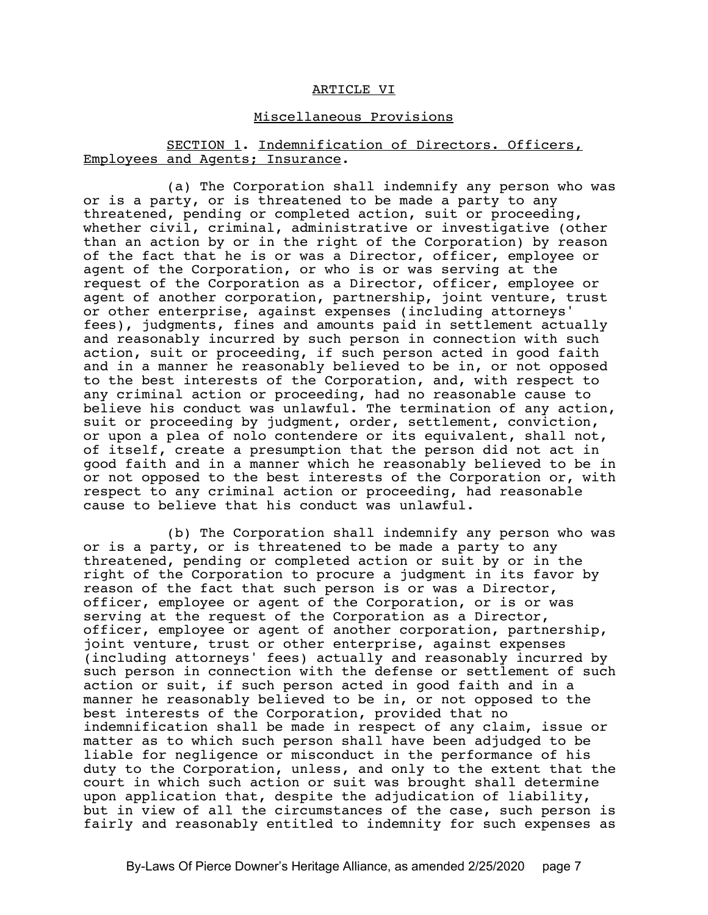## ARTICLE VI

## Miscellaneous Provisions

# SECTION 1. Indemnification of Directors. Officers, Employees and Agents; Insurance.

(a) The Corporation shall indemnify any person who was or is a party, or is threatened to be made a party to any threatened, pending or completed action, suit or proceeding, whether civil, criminal, administrative or investigative (other than an action by or in the right of the Corporation) by reason of the fact that he is or was a Director, officer, employee or agent of the Corporation, or who is or was serving at the request of the Corporation as a Director, officer, employee or agent of another corporation, partnership, joint venture, trust or other enterprise, against expenses (including attorneys' fees), judgments, fines and amounts paid in settlement actually and reasonably incurred by such person in connection with such action, suit or proceeding, if such person acted in good faith and in a manner he reasonably believed to be in, or not opposed to the best interests of the Corporation, and, with respect to any criminal action or proceeding, had no reasonable cause to believe his conduct was unlawful. The termination of any action, suit or proceeding by judgment, order, settlement, conviction, or upon a plea of nolo contendere or its equivalent, shall not, of itself, create a presumption that the person did not act in good faith and in a manner which he reasonably believed to be in or not opposed to the best interests of the Corporation or, with respect to any criminal action or proceeding, had reasonable cause to believe that his conduct was unlawful.

(b) The Corporation shall indemnify any person who was or is a party, or is threatened to be made a party to any threatened, pending or completed action or suit by or in the right of the Corporation to procure a judgment in its favor by reason of the fact that such person is or was a Director, officer, employee or agent of the Corporation, or is or was serving at the request of the Corporation as a Director, officer, employee or agent of another corporation, partnership, joint venture, trust or other enterprise, against expenses (including attorneys' fees) actually and reasonably incurred by such person in connection with the defense or settlement of such action or suit, if such person acted in good faith and in a manner he reasonably believed to be in, or not opposed to the best interests of the Corporation, provided that no indemnification shall be made in respect of any claim, issue or matter as to which such person shall have been adjudged to be liable for negligence or misconduct in the performance of his duty to the Corporation, unless, and only to the extent that the court in which such action or suit was brought shall determine upon application that, despite the adjudication of liability, but in view of all the circumstances of the case, such person is fairly and reasonably entitled to indemnity for such expenses as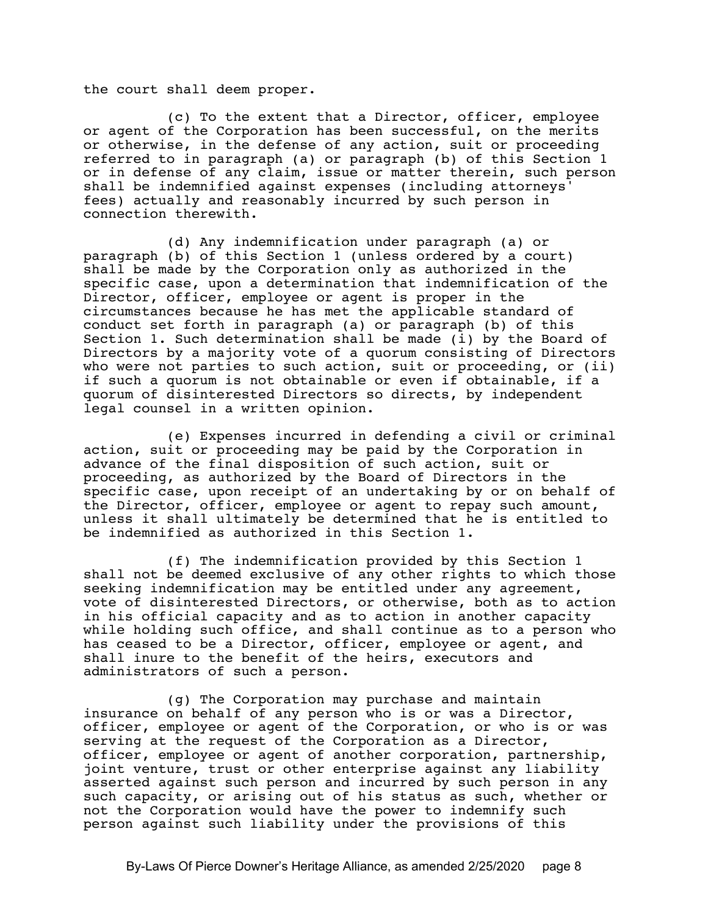the court shall deem proper.

(c) To the extent that a Director, officer, employee or agent of the Corporation has been successful, on the merits or otherwise, in the defense of any action, suit or proceeding referred to in paragraph (a) or paragraph (b) of this Section 1 or in defense of any claim, issue or matter therein, such person shall be indemnified against expenses (including attorneys' fees) actually and reasonably incurred by such person in connection therewith.

(d) Any indemnification under paragraph (a) or paragraph (b) of this Section 1 (unless ordered by a court) shall be made by the Corporation only as authorized in the specific case, upon a determination that indemnification of the Director, officer, employee or agent is proper in the circumstances because he has met the applicable standard of conduct set forth in paragraph (a) or paragraph (b) of this Section 1. Such determination shall be made (i) by the Board of Directors by a majority vote of a quorum consisting of Directors who were not parties to such action, suit or proceeding, or (ii) if such a quorum is not obtainable or even if obtainable, if a quorum of disinterested Directors so directs, by independent legal counsel in a written opinion.

(e) Expenses incurred in defending a civil or criminal action, suit or proceeding may be paid by the Corporation in advance of the final disposition of such action, suit or proceeding, as authorized by the Board of Directors in the specific case, upon receipt of an undertaking by or on behalf of the Director, officer, employee or agent to repay such amount, unless it shall ultimately be determined that he is entitled to be indemnified as authorized in this Section 1.

(f) The indemnification provided by this Section 1 shall not be deemed exclusive of any other rights to which those seeking indemnification may be entitled under any agreement, vote of disinterested Directors, or otherwise, both as to action in his official capacity and as to action in another capacity while holding such office, and shall continue as to a person who has ceased to be a Director, officer, employee or agent, and shall inure to the benefit of the heirs, executors and administrators of such a person.

(g) The Corporation may purchase and maintain insurance on behalf of any person who is or was a Director, officer, employee or agent of the Corporation, or who is or was serving at the request of the Corporation as a Director, officer, employee or agent of another corporation, partnership, joint venture, trust or other enterprise against any liability asserted against such person and incurred by such person in any such capacity, or arising out of his status as such, whether or not the Corporation would have the power to indemnify such person against such liability under the provisions of this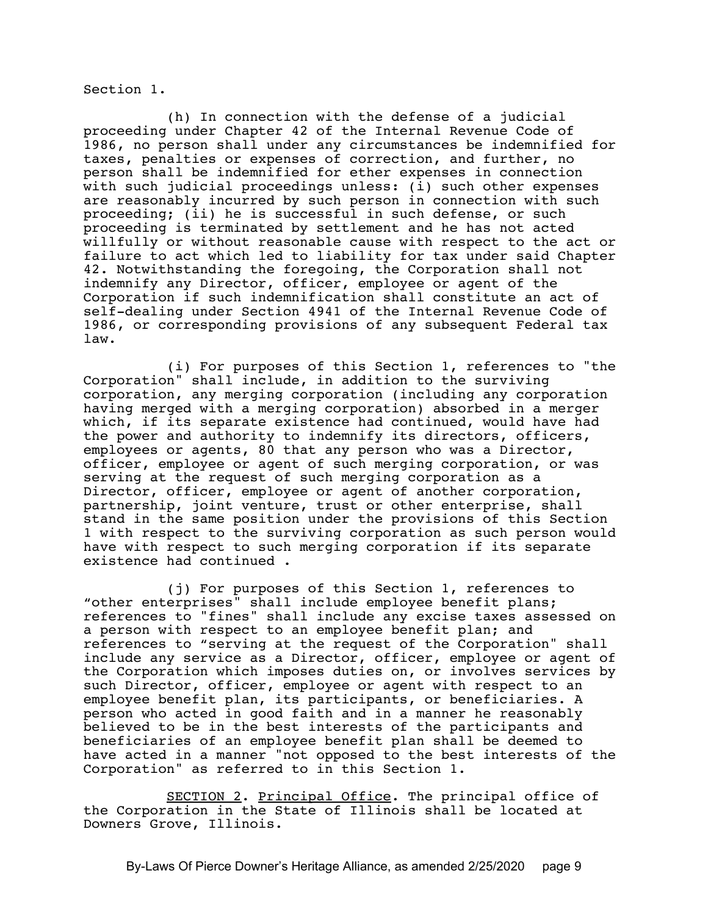Section 1.

(h) In connection with the defense of a judicial proceeding under Chapter 42 of the Internal Revenue Code of 1986, no person shall under any circumstances be indemnified for taxes, penalties or expenses of correction, and further, no person shall be indemnified for ether expenses in connection with such judicial proceedings unless: (i) such other expenses are reasonably incurred by such person in connection with such proceeding; (ii) he is successful in such defense, or such proceeding is terminated by settlement and he has not acted willfully or without reasonable cause with respect to the act or failure to act which led to liability for tax under said Chapter 42. Notwithstanding the foregoing, the Corporation shall not indemnify any Director, officer, employee or agent of the Corporation if such indemnification shall constitute an act of self-dealing under Section 4941 of the Internal Revenue Code of 1986, or corresponding provisions of any subsequent Federal tax law.

(i) For purposes of this Section 1, references to "the Corporation" shall include, in addition to the surviving corporation, any merging corporation (including any corporation having merged with a merging corporation) absorbed in a merger which, if its separate existence had continued, would have had the power and authority to indemnify its directors, officers, employees or agents, 80 that any person who was a Director, officer, employee or agent of such merging corporation, or was serving at the request of such merging corporation as a Director, officer, employee or agent of another corporation, partnership, joint venture, trust or other enterprise, shall stand in the same position under the provisions of this Section 1 with respect to the surviving corporation as such person would have with respect to such merging corporation if its separate existence had continued .

(j) For purposes of this Section 1, references to "other enterprises" shall include employee benefit plans; references to "fines" shall include any excise taxes assessed on a person with respect to an employee benefit plan; and references to "serving at the request of the Corporation" shall include any service as a Director, officer, employee or agent of the Corporation which imposes duties on, or involves services by such Director, officer, employee or agent with respect to an employee benefit plan, its participants, or beneficiaries. A person who acted in good faith and in a manner he reasonably believed to be in the best interests of the participants and beneficiaries of an employee benefit plan shall be deemed to have acted in a manner "not opposed to the best interests of the Corporation" as referred to in this Section 1.

SECTION 2. Principal Office. The principal office of the Corporation in the State of Illinois shall be located at Downers Grove, Illinois.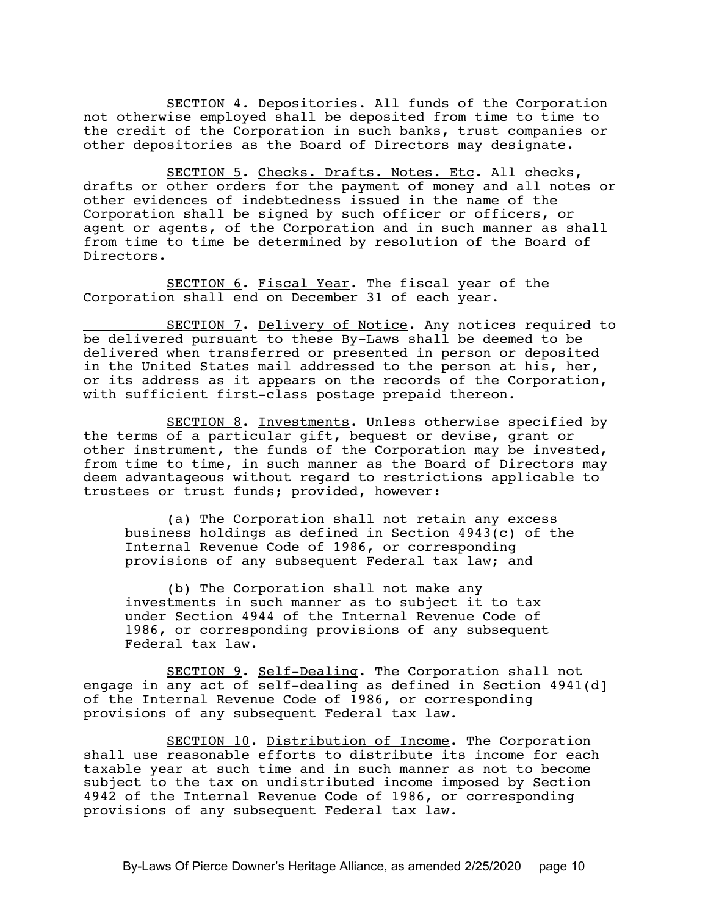SECTION 4. Depositories. All funds of the Corporation not otherwise employed shall be deposited from time to time to the credit of the Corporation in such banks, trust companies or other depositories as the Board of Directors may designate.

SECTION 5. Checks. Drafts. Notes. Etc. All checks, drafts or other orders for the payment of money and all notes or other evidences of indebtedness issued in the name of the Corporation shall be signed by such officer or officers, or agent or agents, of the Corporation and in such manner as shall from time to time be determined by resolution of the Board of Directors.

SECTION 6. Fiscal Year. The fiscal year of the Corporation shall end on December 31 of each year.

 SECTION 7. Delivery of Notice. Any notices required to be delivered pursuant to these By-Laws shall be deemed to be delivered when transferred or presented in person or deposited in the United States mail addressed to the person at his, her, or its address as it appears on the records of the Corporation, with sufficient first-class postage prepaid thereon.

SECTION 8. Investments. Unless otherwise specified by the terms of a particular gift, bequest or devise, grant or other instrument, the funds of the Corporation may be invested, from time to time, in such manner as the Board of Directors may deem advantageous without regard to restrictions applicable to trustees or trust funds; provided, however:

(a) The Corporation shall not retain any excess business holdings as defined in Section 4943(c) of the Internal Revenue Code of 1986, or corresponding provisions of any subsequent Federal tax law; and

(b) The Corporation shall not make any investments in such manner as to subject it to tax under Section 4944 of the Internal Revenue Code of 1986, or corresponding provisions of any subsequent Federal tax law.

SECTION 9. Self-Dealing. The Corporation shall not engage in any act of self-dealing as defined in Section 4941(d] of the Internal Revenue Code of 1986, or corresponding provisions of any subsequent Federal tax law.

SECTION 10. Distribution of Income. The Corporation shall use reasonable efforts to distribute its income for each taxable year at such time and in such manner as not to become subject to the tax on undistributed income imposed by Section 4942 of the Internal Revenue Code of 1986, or corresponding provisions of any subsequent Federal tax law.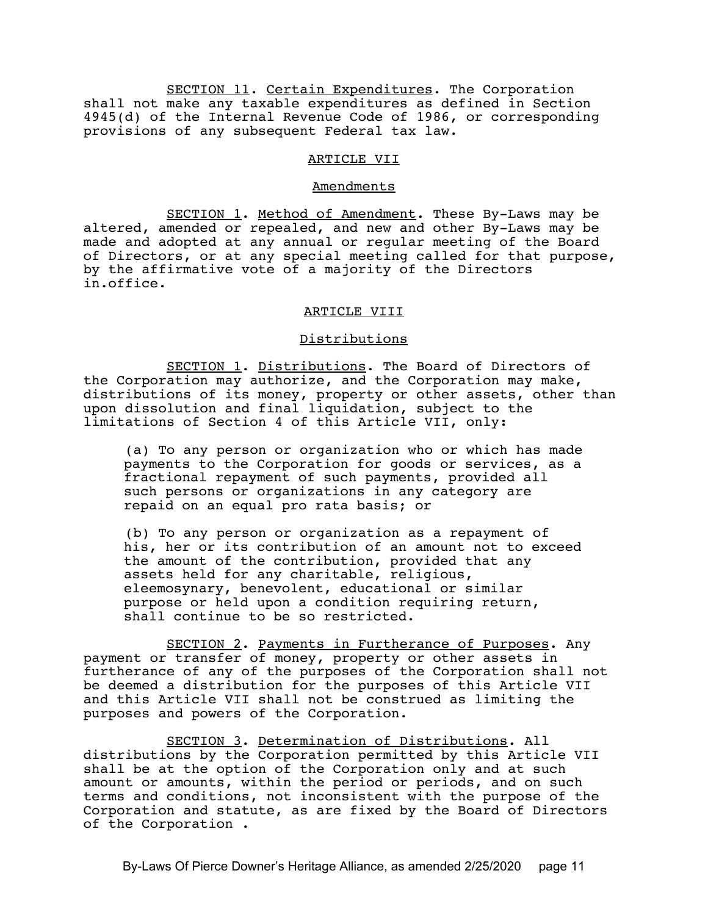SECTION 11. Certain Expenditures. The Corporation shall not make any taxable expenditures as defined in Section 4945(d) of the Internal Revenue Code of 1986, or corresponding provisions of any subsequent Federal tax law.

# ARTICLE VII

#### Amendments

SECTION 1. Method of Amendment. These By-Laws may be altered, amended or repealed, and new and other By-Laws may be made and adopted at any annual or regular meeting of the Board of Directors, or at any special meeting called for that purpose, by the affirmative vote of a majority of the Directors in.office.

# ARTICLE VIII

#### Distributions

SECTION 1. Distributions. The Board of Directors of the Corporation may authorize, and the Corporation may make, distributions of its money, property or other assets, other than upon dissolution and final liquidation, subject to the limitations of Section 4 of this Article VII, only:

(a) To any person or organization who or which has made payments to the Corporation for goods or services, as a fractional repayment of such payments, provided all such persons or organizations in any category are repaid on an equal pro rata basis; or

(b) To any person or organization as a repayment of his, her or its contribution of an amount not to exceed the amount of the contribution, provided that any assets held for any charitable, religious, eleemosynary, benevolent, educational or similar purpose or held upon a condition requiring return, shall continue to be so restricted.

SECTION 2. Payments in Furtherance of Purposes. Any payment or transfer of money, property or other assets in furtherance of any of the purposes of the Corporation shall not be deemed a distribution for the purposes of this Article VII and this Article VII shall not be construed as limiting the purposes and powers of the Corporation.

SECTION 3. Determination of Distributions. All distributions by the Corporation permitted by this Article VII shall be at the option of the Corporation only and at such amount or amounts, within the period or periods, and on such terms and conditions, not inconsistent with the purpose of the Corporation and statute, as are fixed by the Board of Directors of the Corporation .